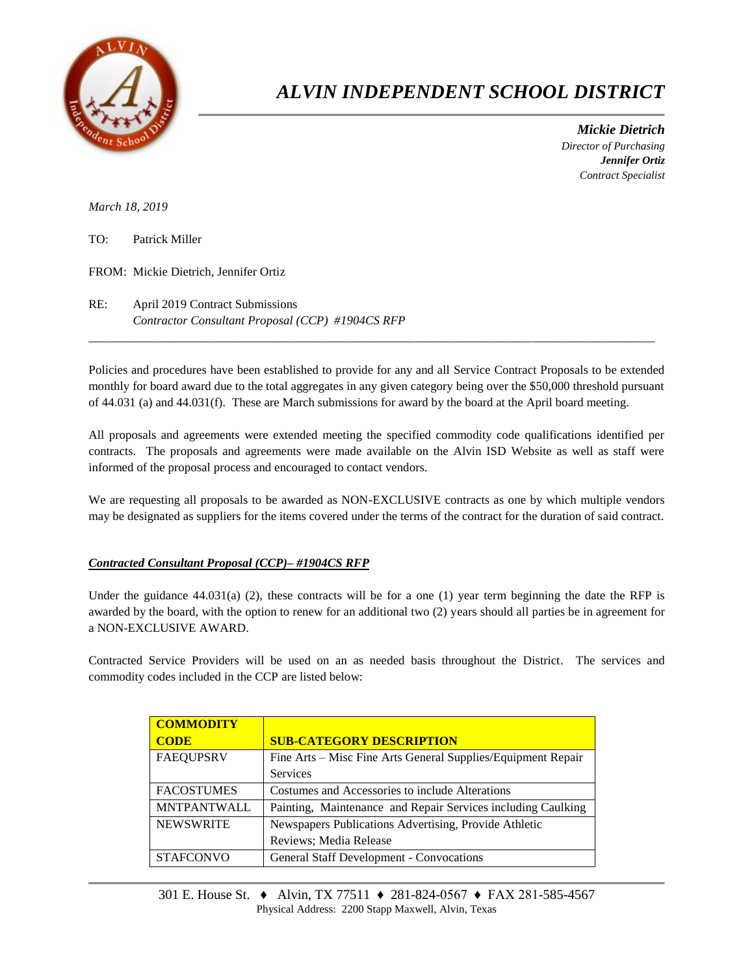

## *ALVIN INDEPENDENT SCHOOL DISTRICT*

 *Mickie Dietrich Director of Purchasing Jennifer Ortiz Contract Specialist*

*March 18, 2019*

TO: Patrick Miller

FROM: Mickie Dietrich, Jennifer Ortiz

RE: April 2019 Contract Submissions *Contractor Consultant Proposal (CCP) #1904CS RFP*

Policies and procedures have been established to provide for any and all Service Contract Proposals to be extended monthly for board award due to the total aggregates in any given category being over the \$50,000 threshold pursuant of 44.031 (a) and 44.031(f). These are March submissions for award by the board at the April board meeting.

 $\overline{a}$  , and the contribution of the contribution of the contribution of the contribution of the contribution of the contribution of the contribution of the contribution of the contribution of the contribution of the co

All proposals and agreements were extended meeting the specified commodity code qualifications identified per contracts. The proposals and agreements were made available on the Alvin ISD Website as well as staff were informed of the proposal process and encouraged to contact vendors.

We are requesting all proposals to be awarded as NON-EXCLUSIVE contracts as one by which multiple vendors may be designated as suppliers for the items covered under the terms of the contract for the duration of said contract.

## *Contracted Consultant Proposal (CCP)– #1904CS RFP*

Under the guidance  $44.031(a)$  (2), these contracts will be for a one (1) year term beginning the date the RFP is awarded by the board, with the option to renew for an additional two (2) years should all parties be in agreement for a NON-EXCLUSIVE AWARD.

Contracted Service Providers will be used on an as needed basis throughout the District. The services and commodity codes included in the CCP are listed below:

| <b>COMMODITY</b>   |                                                              |  |  |  |
|--------------------|--------------------------------------------------------------|--|--|--|
| <b>CODE</b>        | <b>SUB-CATEGORY DESCRIPTION</b>                              |  |  |  |
| <b>FAEQUPSRV</b>   | Fine Arts – Misc Fine Arts General Supplies/Equipment Repair |  |  |  |
|                    | <b>Services</b>                                              |  |  |  |
| <b>FACOSTUMES</b>  | Costumes and Accessories to include Alterations              |  |  |  |
| <b>MNTPANTWALL</b> | Painting, Maintenance and Repair Services including Caulking |  |  |  |
| <b>NEWSWRITE</b>   | Newspapers Publications Advertising, Provide Athletic        |  |  |  |
|                    | Reviews; Media Release                                       |  |  |  |
| <b>STAFCONVO</b>   | <b>General Staff Development - Convocations</b>              |  |  |  |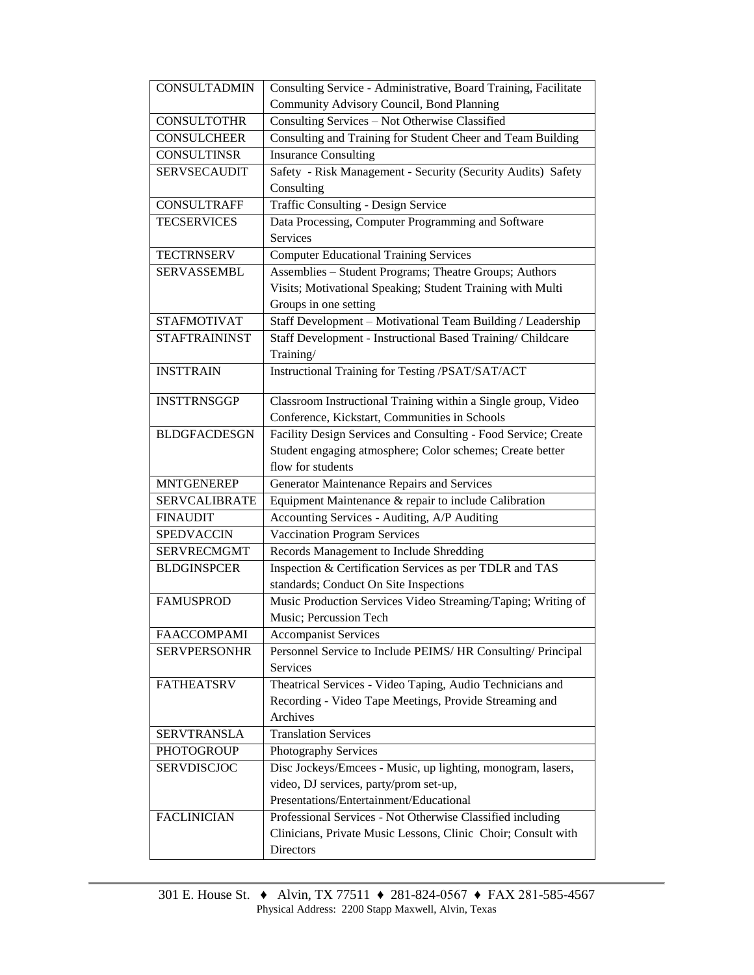| <b>CONSULTADMIN</b>  | Consulting Service - Administrative, Board Training, Facilitate            |  |  |  |  |
|----------------------|----------------------------------------------------------------------------|--|--|--|--|
|                      | Community Advisory Council, Bond Planning                                  |  |  |  |  |
| <b>CONSULTOTHR</b>   | Consulting Services - Not Otherwise Classified                             |  |  |  |  |
| <b>CONSULCHEER</b>   | Consulting and Training for Student Cheer and Team Building                |  |  |  |  |
| <b>CONSULTINSR</b>   | <b>Insurance Consulting</b>                                                |  |  |  |  |
| <b>SERVSECAUDIT</b>  | Safety - Risk Management - Security (Security Audits) Safety               |  |  |  |  |
|                      | Consulting                                                                 |  |  |  |  |
| <b>CONSULTRAFF</b>   | Traffic Consulting - Design Service                                        |  |  |  |  |
| <b>TECSERVICES</b>   | Data Processing, Computer Programming and Software                         |  |  |  |  |
|                      | Services                                                                   |  |  |  |  |
| <b>TECTRNSERV</b>    | <b>Computer Educational Training Services</b>                              |  |  |  |  |
| <b>SERVASSEMBL</b>   | Assemblies - Student Programs; Theatre Groups; Authors                     |  |  |  |  |
|                      | Visits; Motivational Speaking; Student Training with Multi                 |  |  |  |  |
|                      | Groups in one setting                                                      |  |  |  |  |
| <b>STAFMOTIVAT</b>   | Staff Development - Motivational Team Building / Leadership                |  |  |  |  |
| <b>STAFTRAININST</b> | Staff Development - Instructional Based Training/ Childcare                |  |  |  |  |
|                      | Training/                                                                  |  |  |  |  |
| <b>INSTTRAIN</b>     | Instructional Training for Testing /PSAT/SAT/ACT                           |  |  |  |  |
|                      |                                                                            |  |  |  |  |
| <b>INSTTRNSGGP</b>   | Classroom Instructional Training within a Single group, Video              |  |  |  |  |
|                      | Conference, Kickstart, Communities in Schools                              |  |  |  |  |
| <b>BLDGFACDESGN</b>  | Facility Design Services and Consulting - Food Service; Create             |  |  |  |  |
|                      | Student engaging atmosphere; Color schemes; Create better                  |  |  |  |  |
|                      | flow for students                                                          |  |  |  |  |
| <b>MNTGENEREP</b>    | Generator Maintenance Repairs and Services                                 |  |  |  |  |
| <b>SERVCALIBRATE</b> | Equipment Maintenance & repair to include Calibration                      |  |  |  |  |
| <b>FINAUDIT</b>      | Accounting Services - Auditing, A/P Auditing                               |  |  |  |  |
| <b>SPEDVACCIN</b>    | <b>Vaccination Program Services</b>                                        |  |  |  |  |
| <b>SERVRECMGMT</b>   | Records Management to Include Shredding                                    |  |  |  |  |
| <b>BLDGINSPCER</b>   | Inspection & Certification Services as per TDLR and TAS                    |  |  |  |  |
|                      | standards; Conduct On Site Inspections                                     |  |  |  |  |
| <b>FAMUSPROD</b>     | Music Production Services Video Streaming/Taping; Writing of               |  |  |  |  |
|                      | Music; Percussion Tech                                                     |  |  |  |  |
| <b>FAACCOMPAMI</b>   | <b>Accompanist Services</b>                                                |  |  |  |  |
| <b>SERVPERSONHR</b>  | Personnel Service to Include PEIMS/HR Consulting/ Principal                |  |  |  |  |
|                      | Services                                                                   |  |  |  |  |
| <b>FATHEATSRV</b>    | Theatrical Services - Video Taping, Audio Technicians and                  |  |  |  |  |
|                      | Recording - Video Tape Meetings, Provide Streaming and<br>Archives         |  |  |  |  |
|                      |                                                                            |  |  |  |  |
| <b>SERVTRANSLA</b>   | <b>Translation Services</b>                                                |  |  |  |  |
| <b>PHOTOGROUP</b>    | Photography Services                                                       |  |  |  |  |
| <b>SERVDISCJOC</b>   | Disc Jockeys/Emcees - Music, up lighting, monogram, lasers,                |  |  |  |  |
|                      | video, DJ services, party/prom set-up,                                     |  |  |  |  |
|                      |                                                                            |  |  |  |  |
|                      | Presentations/Entertainment/Educational                                    |  |  |  |  |
| <b>FACLINICIAN</b>   | Professional Services - Not Otherwise Classified including                 |  |  |  |  |
|                      | Clinicians, Private Music Lessons, Clinic Choir; Consult with<br>Directors |  |  |  |  |